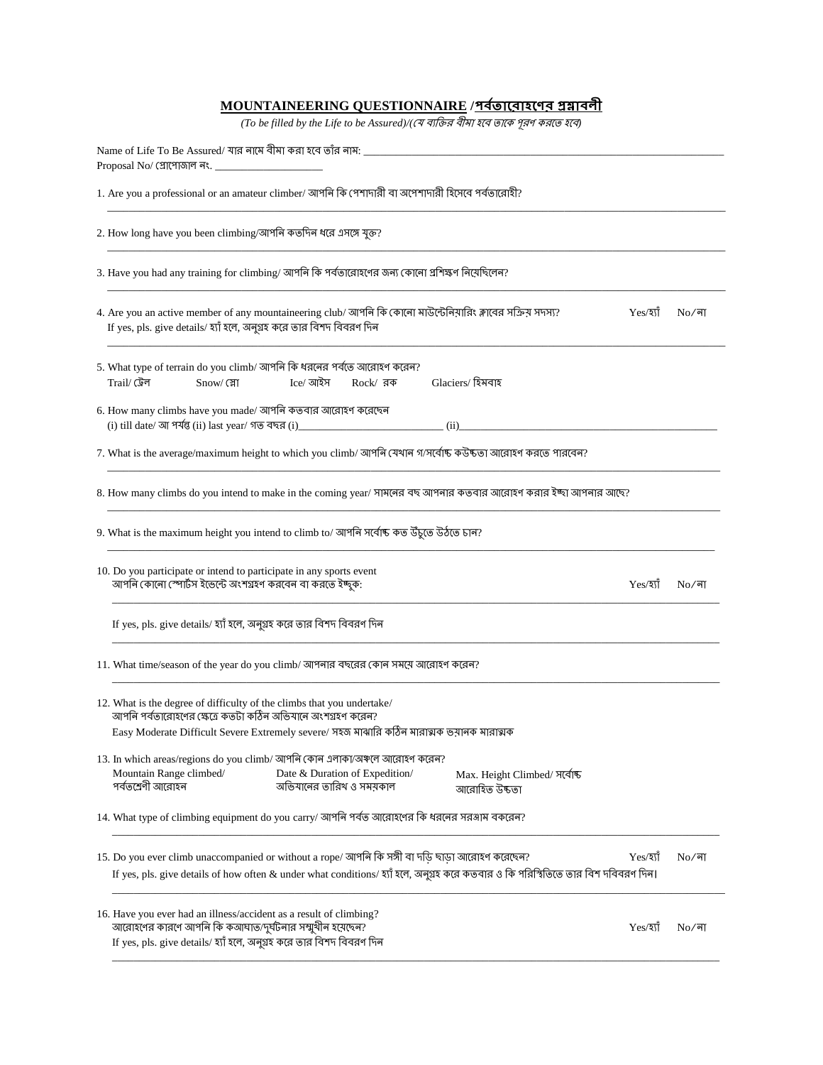## **MOUNTAINEERING QUESTIONNAIRE /**

(To be filled by the Life to be Assured)/(যে ব্যক্তির বীমা হবে তাকে পূরণ করতে হবে)

| 1. Are you a professional or an amateur climber/ আপনি কি পেশাদারী বা অপেশাদারী হিসেবে পর্বতারোহী?                                                                                                                                                                 |  |  |  |  |  |
|-------------------------------------------------------------------------------------------------------------------------------------------------------------------------------------------------------------------------------------------------------------------|--|--|--|--|--|
| 2. How long have you been climbing/আপনি কতদিন ধরে এসঙ্গে যুক্ত?                                                                                                                                                                                                   |  |  |  |  |  |
| 3. Have you had any training for climbing/ আপনি কি পর্বতারোহণের জন্য কোনো প্রশিক্ষণ নিয়েছিলেন?                                                                                                                                                                   |  |  |  |  |  |
| 4. Are you an active member of any mountaineering club/ আপনি কি কোনো মাউন্টেনিয়ারিং ক্লাবের সক্রিয় সদস্য?<br>Yes/হ্যাঁ<br>$No/\overline{a}$ া<br>If yes, pls. give details/ হ্যাঁ হলে, অনুগ্রহ করে তার বিশদ বিবরণ দিন                                           |  |  |  |  |  |
| 5. What type of terrain do you climb/ আপনি কি ধরনের পর্বতে আরোহণ করেন?<br>Glaciers/ হিমবাহ<br>Trail/ টেল<br>Snow/ স্নো<br>Ice/ আইস<br>$Rock / \overline{34}$                                                                                                      |  |  |  |  |  |
| 6. How many climbs have you made/ আপনি কতবার আরোহণ করেছেন<br>(ii)                                                                                                                                                                                                 |  |  |  |  |  |
| 7. What is the average/maximum height to which you climb/ আপনি যেথান গ/সর্বোষ্ক কউষ্কতা আরোহণ করতে পারবেন?                                                                                                                                                        |  |  |  |  |  |
| 8. How many climbs do you intend to make in the coming year/ সামনের বছ আপনার কতবার আরোহণ করার ইচ্ছা আপনার আছে?                                                                                                                                                    |  |  |  |  |  |
| 9. What is the maximum height you intend to climb to/ আপনি সৰ্বোষ্ক কত উঁচুতে উঠতে চান?                                                                                                                                                                           |  |  |  |  |  |
| 10. Do you participate or intend to participate in any sports event<br>আপনি কোনো স্পোর্টস ইভেন্টে অংশগ্রহণ করবেন বা করতে ইচ্ছুক:<br>Yes/30<br>$No/\sqrt{d}$                                                                                                       |  |  |  |  |  |
| If yes, pls. give details/ হ্যাঁ হলে, অনুগ্রহ করে তার বিশদ বিবরণ দিন                                                                                                                                                                                              |  |  |  |  |  |
| 11. What time/season of the year do you climb/ আপনার বছরের কোন সময়ে আরোহণ করেন?                                                                                                                                                                                  |  |  |  |  |  |
| 12. What is the degree of difficulty of the climbs that you undertake/<br>আপনি পর্বতারোহণের ক্ষেত্রে কতটা কঠিন অভিযানে অংশগ্রহণ করেন?                                                                                                                             |  |  |  |  |  |
| Easy Moderate Difficult Severe Extremely severe/ সহজ মাঝারি কঠিন মারাত্মক ভয়ানক মারাত্মক                                                                                                                                                                         |  |  |  |  |  |
| 13. In which areas/regions do you climb/ আপনি কোন এলাকা/অঞ্চলে আরোহণ করেন?<br>Mountain Range climbed/<br>Date & Duration of Expedition/<br>Max. Height Climbed/ সর্বোষ্ট<br>পৰ্বতশ্ৰেণী আরোহন<br>অভিযানের তারিখ ও সময়কাল<br>আরোহিত উচ্চতা                        |  |  |  |  |  |
| 14. What type of climbing equipment do you carry/ আপনি পর্বত আরোহণের কি ধরনের সরঞ্জাম বকরেন?                                                                                                                                                                      |  |  |  |  |  |
| 15. Do you ever climb unaccompanied or without a rope/ আপনি কি সঙ্গী বা দডি ছাডা আরোহণ করেছেন?<br>Yes/হ্যাঁ<br>$No/\sqrt{a}$<br>If yes, pls. give details of how often & under what conditions/ হ্যাঁ হলে, অনুগ্রহ করে কতবার ও কি পরিস্থিতিতে তার বিশ দবিবরণ দিন। |  |  |  |  |  |
| 16. Have you ever had an illness/accident as a result of climbing?<br>আরোহণের কারণে আপনি কি কআঘাত/দুর্ঘটনার সম্মুখীন হয়েছেন?<br>$Yes/3$ য়াঁ<br>$No/\overline{a}$ া<br>If yes, pls. give details/ হ্যাঁ হলে, অনুগ্রহ করে তার বিশদ বিবরণ দিন                      |  |  |  |  |  |